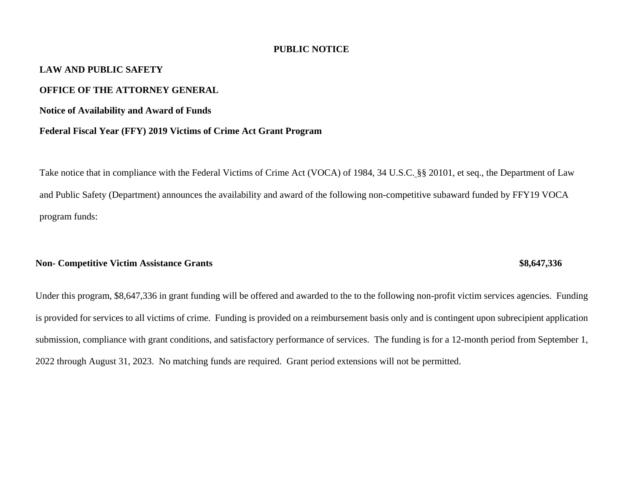#### **PUBLIC NOTICE**

# **LAW AND PUBLIC SAFETY**

### **OFFICE OF THE ATTORNEY GENERAL**

**Notice of Availability and Award of Funds**

#### **Federal Fiscal Year (FFY) 2019 Victims of Crime Act Grant Program**

Take notice that in compliance with the Federal Victims of Crime Act (VOCA) of 1984, 34 U.S.C. §§ 20101, et seq., the Department of Law and Public Safety (Department) announces the availability and award of the following non-competitive subaward funded by FFY19 VOCA program funds:

# **Non- Competitive Victim Assistance Grants**  $\bullet$  **\$8,647,336**

# Under this program, \$8,647,336 in grant funding will be offered and awarded to the to the following non-profit victim services agencies. Funding is provided for services to all victims of crime. Funding is provided on a reimbursement basis only and is contingent upon subrecipient application submission, compliance with grant conditions, and satisfactory performance of services. The funding is for a 12-month period from September 1, 2022 through August 31, 2023. No matching funds are required. Grant period extensions will not be permitted.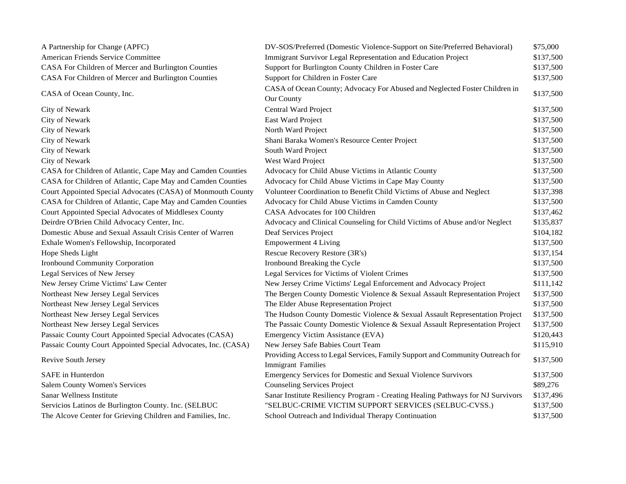| A Partnership for Change (APFC)                               | DV-SOS/Preferred (Domestic Violence-Support on Site/Preferred Behavioral)                           | \$75,000  |
|---------------------------------------------------------------|-----------------------------------------------------------------------------------------------------|-----------|
| American Friends Service Committee                            | Immigrant Survivor Legal Representation and Education Project                                       | \$137,500 |
| CASA For Children of Mercer and Burlington Counties           | Support for Burlington County Children in Foster Care                                               | \$137,500 |
| CASA For Children of Mercer and Burlington Counties           | Support for Children in Foster Care                                                                 | \$137,500 |
| CASA of Ocean County, Inc.                                    | CASA of Ocean County; Advocacy For Abused and Neglected Foster Children in                          | \$137,500 |
|                                                               | Our County                                                                                          |           |
| City of Newark                                                | Central Ward Project                                                                                | \$137,500 |
| City of Newark                                                | East Ward Project                                                                                   | \$137,500 |
| City of Newark                                                | North Ward Project                                                                                  | \$137,500 |
| City of Newark                                                | Shani Baraka Women's Resource Center Project                                                        | \$137,500 |
| City of Newark                                                | South Ward Project                                                                                  | \$137,500 |
| City of Newark                                                | West Ward Project                                                                                   | \$137,500 |
| CASA for Children of Atlantic, Cape May and Camden Counties   | Advocacy for Child Abuse Victims in Atlantic County                                                 | \$137,500 |
| CASA for Children of Atlantic, Cape May and Camden Counties   | Advocacy for Child Abuse Victims in Cape May County                                                 | \$137,500 |
| Court Appointed Special Advocates (CASA) of Monmouth County   | Volunteer Coordination to Benefit Child Victims of Abuse and Neglect                                | \$137,398 |
| CASA for Children of Atlantic, Cape May and Camden Counties   | Advocacy for Child Abuse Victims in Camden County                                                   | \$137,500 |
| Court Appointed Special Advocates of Middlesex County         | CASA Advocates for 100 Children                                                                     | \$137,462 |
| Deirdre O'Brien Child Advocacy Center, Inc.                   | Advocacy and Clinical Counseling for Child Victims of Abuse and/or Neglect                          | \$135,837 |
| Domestic Abuse and Sexual Assault Crisis Center of Warren     | Deaf Services Project                                                                               | \$104,182 |
| Exhale Women's Fellowship, Incorporated                       | <b>Empowerment 4 Living</b>                                                                         | \$137,500 |
| Hope Sheds Light                                              | Rescue Recovery Restore (3R's)                                                                      | \$137,154 |
| Ironbound Community Corporation                               | Ironbound Breaking the Cycle                                                                        | \$137,500 |
| Legal Services of New Jersey                                  | Legal Services for Victims of Violent Crimes                                                        | \$137,500 |
| New Jersey Crime Victims' Law Center                          | New Jersey Crime Victims' Legal Enforcement and Advocacy Project                                    | \$111,142 |
| Northeast New Jersey Legal Services                           | The Bergen County Domestic Violence & Sexual Assault Representation Project                         | \$137,500 |
| Northeast New Jersey Legal Services                           | The Elder Abuse Representation Project                                                              | \$137,500 |
| Northeast New Jersey Legal Services                           | The Hudson County Domestic Violence & Sexual Assault Representation Project                         | \$137,500 |
| Northeast New Jersey Legal Services                           | The Passaic County Domestic Violence & Sexual Assault Representation Project                        | \$137,500 |
| Passaic County Court Appointed Special Advocates (CASA)       | Emergency Victim Assistance (EVA)                                                                   | \$120,443 |
| Passaic County Court Appointed Special Advocates, Inc. (CASA) | New Jersey Safe Babies Court Team                                                                   | \$115,910 |
| Revive South Jersey                                           | Providing Access to Legal Services, Family Support and Community Outreach for<br>Immigrant Families | \$137,500 |
| SAFE in Hunterdon                                             | Emergency Services for Domestic and Sexual Violence Survivors                                       | \$137,500 |
| Salem County Women's Services                                 | <b>Counseling Services Project</b>                                                                  | \$89,276  |
| Sanar Wellness Institute                                      | Sanar Institute Resiliency Program - Creating Healing Pathways for NJ Survivors                     | \$137,496 |
| Servicios Latinos de Burlington County. Inc. (SELBUC          | "SELBUC-CRIME VICTIM SUPPORT SERVICES (SELBUC-CVSS.)                                                | \$137,500 |
| The Alcove Center for Grieving Children and Families, Inc.    | School Outreach and Individual Therapy Continuation                                                 | \$137,500 |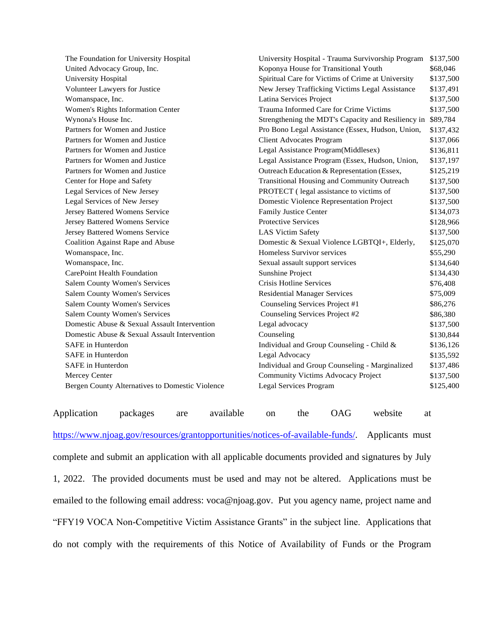| The Foundation for University Hospital          | University Hospital - Trauma Survivorship Program  | \$137,500 |
|-------------------------------------------------|----------------------------------------------------|-----------|
| United Advocacy Group, Inc.                     | Koponya House for Transitional Youth               | \$68,046  |
| University Hospital                             | Spiritual Care for Victims of Crime at University  | \$137,500 |
| Volunteer Lawyers for Justice                   | New Jersey Trafficking Victims Legal Assistance    | \$137,491 |
| Womanspace, Inc.                                | Latina Services Project                            | \$137,500 |
| Women's Rights Information Center               | Trauma Informed Care for Crime Victims             | \$137,500 |
| Wynona's House Inc.                             | Strengthening the MDT's Capacity and Resiliency in | \$89,784  |
| Partners for Women and Justice                  | Pro Bono Legal Assistance (Essex, Hudson, Union,   | \$137,432 |
| Partners for Women and Justice                  | <b>Client Advocates Program</b>                    | \$137,066 |
| Partners for Women and Justice                  | Legal Assistance Program(Middlesex)                | \$136,811 |
| Partners for Women and Justice                  | Legal Assistance Program (Essex, Hudson, Union,    | \$137,197 |
| Partners for Women and Justice                  | Outreach Education & Representation (Essex,        | \$125,219 |
| Center for Hope and Safety                      | Transitional Housing and Community Outreach        | \$137,500 |
| Legal Services of New Jersey                    | PROTECT (legal assistance to victims of            | \$137,500 |
| Legal Services of New Jersey                    | Domestic Violence Representation Project           | \$137,500 |
| Jersey Battered Womens Service                  | Family Justice Center                              | \$134,073 |
| Jersey Battered Womens Service                  | <b>Protective Services</b>                         | \$128,966 |
| Jersey Battered Womens Service                  | <b>LAS Victim Safety</b>                           | \$137,500 |
| Coalition Against Rape and Abuse                | Domestic & Sexual Violence LGBTQI+, Elderly,       | \$125,070 |
| Womanspace, Inc.                                | Homeless Survivor services                         | \$55,290  |
| Womanspace, Inc.                                | Sexual assault support services                    | \$134,640 |
| CarePoint Health Foundation                     | Sunshine Project                                   | \$134,430 |
| <b>Salem County Women's Services</b>            | Crisis Hotline Services                            | \$76,408  |
| <b>Salem County Women's Services</b>            | <b>Residential Manager Services</b>                | \$75,009  |
| <b>Salem County Women's Services</b>            | Counseling Services Project #1                     | \$86,276  |
| <b>Salem County Women's Services</b>            | Counseling Services Project #2                     | \$86,380  |
| Domestic Abuse & Sexual Assault Intervention    | Legal advocacy                                     | \$137,500 |
| Domestic Abuse & Sexual Assault Intervention    | Counseling                                         | \$130,844 |
| <b>SAFE</b> in Hunterdon                        | Individual and Group Counseling - Child &          | \$136,126 |
| <b>SAFE</b> in Hunterdon                        | Legal Advocacy                                     | \$135,592 |
| SAFE in Hunterdon                               | Individual and Group Counseling - Marginalized     | \$137,486 |
| Mercey Center                                   | Community Victims Advocacy Project                 | \$137,500 |
| Bergen County Alternatives to Domestic Violence | <b>Legal Services Program</b>                      | \$125,400 |

[https://www.njoag.gov/resources/grantopportunities/notices-of-available-funds/.](https://www.njoag.gov/resources/grantopportunities/notices-of-available-funds/) Applicants must complete and submit an application with all applicable documents provided and signatures by July 1, 2022. The provided documents must be used and may not be altered. Applications must be emailed to the following email address: voca@njoag.gov. Put you agency name, project name and "FFY19 VOCA Non-Competitive Victim Assistance Grants" in the subject line. Applications that do not comply with the requirements of this Notice of Availability of Funds or the Program

Application packages are available on the OAG website at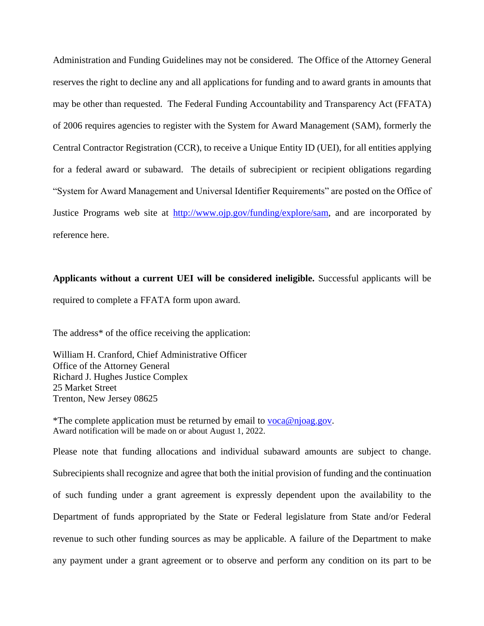Administration and Funding Guidelines may not be considered. The Office of the Attorney General reserves the right to decline any and all applications for funding and to award grants in amounts that may be other than requested. The Federal Funding Accountability and Transparency Act (FFATA) of 2006 requires agencies to register with the System for Award Management (SAM), formerly the Central Contractor Registration (CCR), to receive a Unique Entity ID (UEI), for all entities applying for a federal award or subaward. The details of subrecipient or recipient obligations regarding "System for Award Management and Universal Identifier Requirements" are posted on the Office of Justice Programs web site at [http://www.ojp.gov/funding/explore/sam,](http://www.ojp.gov/funding/explore/sam) and are incorporated by reference here.

# **Applicants without a current UEI will be considered ineligible.** Successful applicants will be required to complete a FFATA form upon award.

The address\* of the office receiving the application:

William H. Cranford, Chief Administrative Officer Office of the Attorney General Richard J. Hughes Justice Complex 25 Market Street Trenton, New Jersey 08625

\*The complete application must be returned by email to [voca@njoag.gov.](mailto:voca@njoag.gov) Award notification will be made on or about August 1, 2022.

Please note that funding allocations and individual subaward amounts are subject to change. Subrecipients shall recognize and agree that both the initial provision of funding and the continuation of such funding under a grant agreement is expressly dependent upon the availability to the Department of funds appropriated by the State or Federal legislature from State and/or Federal revenue to such other funding sources as may be applicable. A failure of the Department to make any payment under a grant agreement or to observe and perform any condition on its part to be